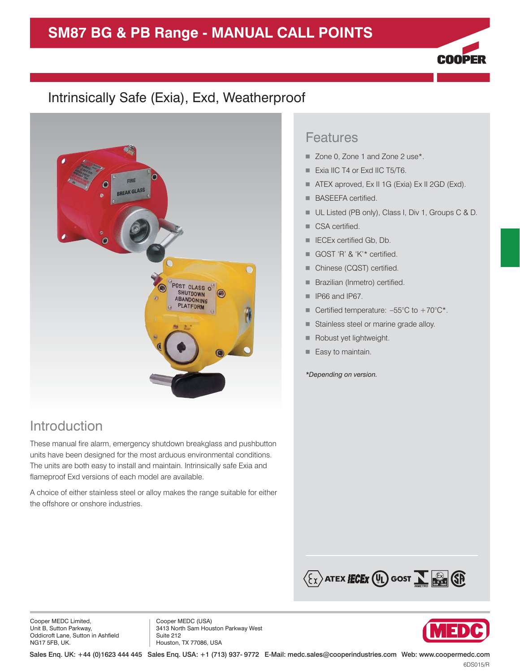# **SM87 BG & PB Range - MANUAL CALL POINTS**



### Intrinsically Safe (Exia), Exd, Weatherproof



### Introduction

These manual fire alarm, emergency shutdown breakglass and pushbutton units have been designed for the most arduous environmental conditions. The units are both easy to install and maintain. Intrinsically safe Exia and flameproof Exd versions of each model are available.

A choice of either stainless steel or alloy makes the range suitable for either the offshore or onshore industries.

#### Features

- Zone 0, Zone 1 and Zone 2 use\*.
- **Exia IIC T4 or Exd IIC T5/T6.**
- ATEX aproved, Ex II 1G (Exia) Ex II 2GD (Exd).
- **BASEEFA certified.**
- UL Listed (PB only), Class I, Div 1, Groups C & D.
- **CSA certified.**
- **IECEx certified Gb, Db.**
- GOST 'R' & 'K'\* certified.
- **Chinese (CQST) certified.**
- **Brazilian (Inmetro) certified.**
- $\blacksquare$  IP66 and IP67.
- Certified temperature:  $-55^{\circ}$ C to  $+70^{\circ}$ C\*.
- **Stainless steel or marine grade alloy.**
- **Robust yet lightweight.**
- Easy to maintain.

*\*Depending on version.*



Cooper MEDC Limited, Unit B, Sutton Parkway, Oddicroft Lane, Sutton in Ashfield NG17 5FB, UK.

Cooper MEDC (USA) 3413 North Sam Houston Parkway West Suite 212 Houston, TX 77086, USA

Sales Enq. UK: +44 (0)1623 444 445 Sales Enq. USA: +1 (713) 937- 9772 E-Mail: medc.sales@cooperindustries.com Web: www.coopermedc.com